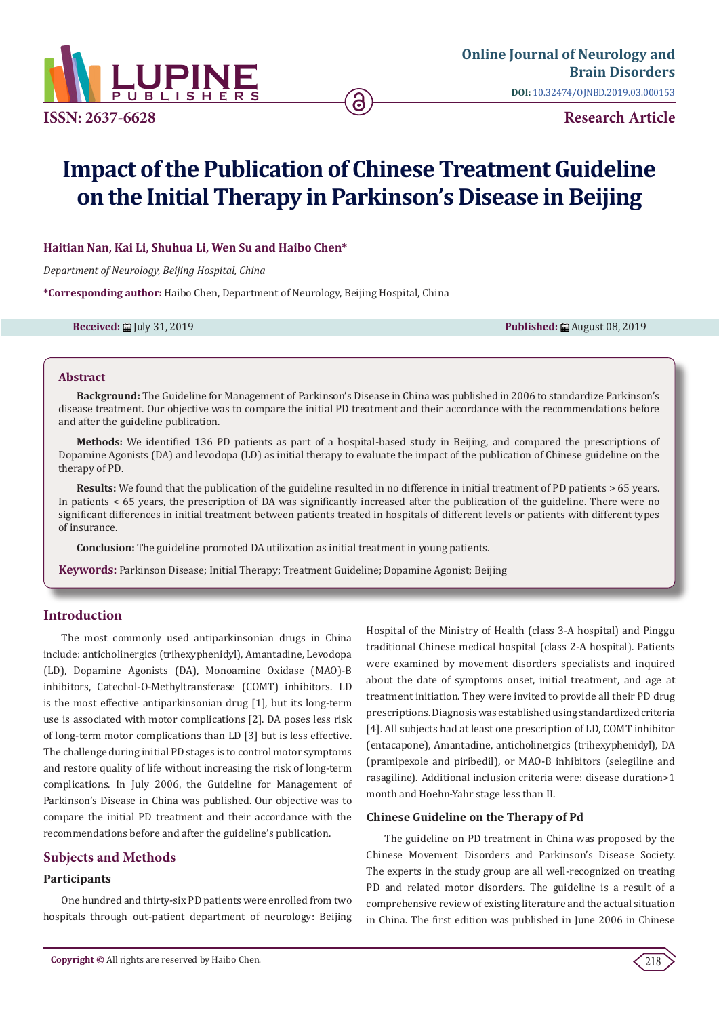

# **Impact of the Publication of Chinese Treatment Guideline on the Initial Therapy in Parkinson's Disease in Beijing**

## **Haitian Nan, Kai Li, Shuhua Li, Wen Su and Haibo Chen\***

*Department of Neurology, Beijing Hospital, China*

**\*Corresponding author:** Haibo Chen, Department of Neurology, Beijing Hospital, China

**Received:** ■ July 31, 2019 **Published:** ■ August 08, 2019

#### **Abstract**

**Background:** The Guideline for Management of Parkinson's Disease in China was published in 2006 to standardize Parkinson's disease treatment. Our objective was to compare the initial PD treatment and their accordance with the recommendations before and after the guideline publication.

**Methods:** We identified 136 PD patients as part of a hospital-based study in Beijing, and compared the prescriptions of Dopamine Agonists (DA) and levodopa (LD) as initial therapy to evaluate the impact of the publication of Chinese guideline on the therapy of PD.

**Results:** We found that the publication of the guideline resulted in no difference in initial treatment of PD patients > 65 years. In patients < 65 years, the prescription of DA was significantly increased after the publication of the guideline. There were no significant differences in initial treatment between patients treated in hospitals of different levels or patients with different types of insurance.

**Conclusion:** The guideline promoted DA utilization as initial treatment in young patients.

**Keywords:** Parkinson Disease; Initial Therapy; Treatment Guideline; Dopamine Agonist; Beijing

## **Introduction**

The most commonly used antiparkinsonian drugs in China include: anticholinergics (trihexyphenidyl), Amantadine, Levodopa (LD), Dopamine Agonists (DA), Monoamine Oxidase (MAO)-B inhibitors, Catechol-O-Methyltransferase (COMT) inhibitors. LD is the most effective antiparkinsonian drug [1], but its long-term use is associated with motor complications [2]. DA poses less risk of long-term motor complications than LD [3] but is less effective. The challenge during initial PD stages is to control motor symptoms and restore quality of life without increasing the risk of long-term complications. In July 2006, the Guideline for Management of Parkinson's Disease in China was published. Our objective was to compare the initial PD treatment and their accordance with the recommendations before and after the guideline's publication.

## **Subjects and Methods**

## **Participants**

One hundred and thirty-six PD patients were enrolled from two hospitals through out-patient department of neurology: Beijing Hospital of the Ministry of Health (class 3-A hospital) and Pinggu traditional Chinese medical hospital (class 2-A hospital). Patients were examined by movement disorders specialists and inquired about the date of symptoms onset, initial treatment, and age at treatment initiation. They were invited to provide all their PD drug prescriptions. Diagnosis was established using standardized criteria [4]. All subjects had at least one prescription of LD, COMT inhibitor (entacapone), Amantadine, anticholinergics (trihexyphenidyl), DA (pramipexole and piribedil), or MAO-B inhibitors (selegiline and rasagiline). Additional inclusion criteria were: disease duration>1 month and Hoehn-Yahr stage less than II.

#### **Chinese Guideline on the Therapy of Pd**

The guideline on PD treatment in China was proposed by the Chinese Movement Disorders and Parkinson's Disease Society. The experts in the study group are all well-recognized on treating PD and related motor disorders. The guideline is a result of a comprehensive review of existing literature and the actual situation in China. The first edition was published in June 2006 in Chinese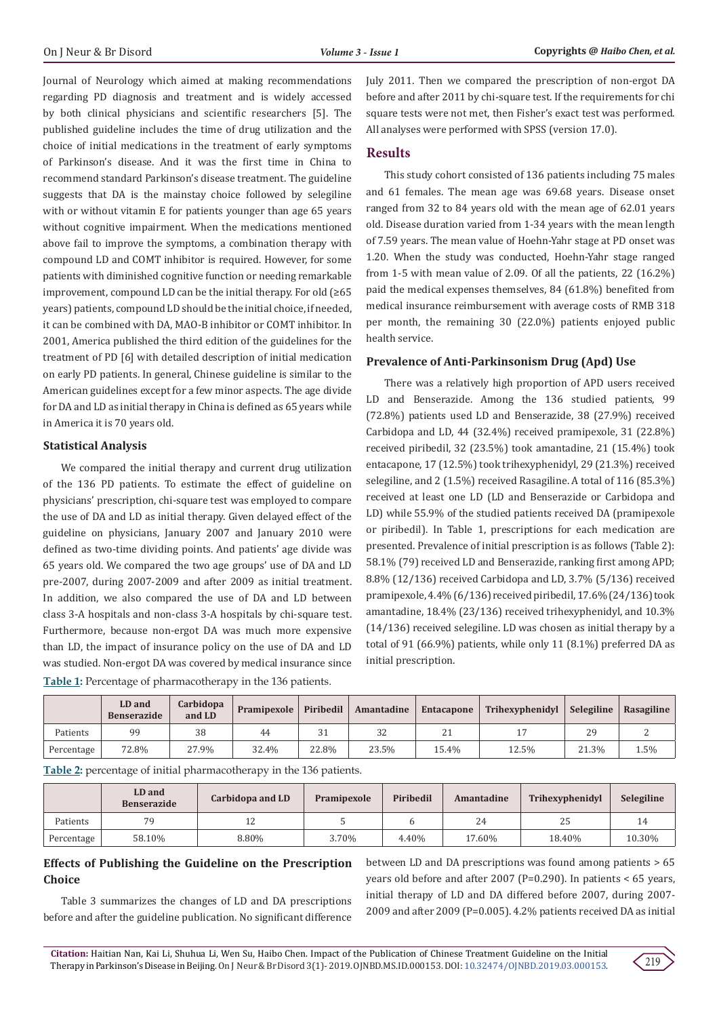Journal of Neurology which aimed at making recommendations regarding PD diagnosis and treatment and is widely accessed by both clinical physicians and scientific researchers [5]. The published guideline includes the time of drug utilization and the choice of initial medications in the treatment of early symptoms of Parkinson's disease. And it was the first time in China to recommend standard Parkinson's disease treatment. The guideline suggests that DA is the mainstay choice followed by selegiline with or without vitamin E for patients younger than age 65 years without cognitive impairment. When the medications mentioned above fail to improve the symptoms, a combination therapy with compound LD and COMT inhibitor is required. However, for some patients with diminished cognitive function or needing remarkable improvement, compound LD can be the initial therapy. For old  $(≥65$ years) patients, compound LD should be the initial choice, if needed, it can be combined with DA, MAO-B inhibitor or COMT inhibitor. In 2001, America published the third edition of the guidelines for the treatment of PD [6] with detailed description of initial medication on early PD patients. In general, Chinese guideline is similar to the American guidelines except for a few minor aspects. The age divide for DA and LD as initial therapy in China is defined as 65 years while in America it is 70 years old.

#### **Statistical Analysis**

We compared the initial therapy and current drug utilization of the 136 PD patients. To estimate the effect of guideline on physicians' prescription, chi-square test was employed to compare the use of DA and LD as initial therapy. Given delayed effect of the guideline on physicians, January 2007 and January 2010 were defined as two-time dividing points. And patients' age divide was 65 years old. We compared the two age groups' use of DA and LD pre-2007, during 2007-2009 and after 2009 as initial treatment. In addition, we also compared the use of DA and LD between class 3-A hospitals and non-class 3-A hospitals by chi-square test. Furthermore, because non-ergot DA was much more expensive than LD, the impact of insurance policy on the use of DA and LD was studied. Non-ergot DA was covered by medical insurance since **Table 1:** Percentage of pharmacotherapy in the 136 patients.

July 2011. Then we compared the prescription of non-ergot DA before and after 2011 by chi-square test. If the requirements for chi square tests were not met, then Fisher's exact test was performed. All analyses were performed with SPSS (version 17.0).

## **Results**

This study cohort consisted of 136 patients including 75 males and 61 females. The mean age was 69.68 years. Disease onset ranged from 32 to 84 years old with the mean age of 62.01 years old. Disease duration varied from 1-34 years with the mean length of 7.59 years. The mean value of Hoehn-Yahr stage at PD onset was 1.20. When the study was conducted, Hoehn-Yahr stage ranged from 1-5 with mean value of 2.09. Of all the patients, 22 (16.2%) paid the medical expenses themselves, 84 (61.8%) benefited from medical insurance reimbursement with average costs of RMB 318 per month, the remaining 30 (22.0%) patients enjoyed public health service.

#### **Prevalence of Anti-Parkinsonism Drug (Apd) Use**

There was a relatively high proportion of APD users received LD and Benserazide. Among the 136 studied patients, 99 (72.8%) patients used LD and Benserazide, 38 (27.9%) received Carbidopa and LD, 44 (32.4%) received pramipexole, 31 (22.8%) received piribedil, 32 (23.5%) took amantadine, 21 (15.4%) took entacapone, 17 (12.5%) took trihexyphenidyl, 29 (21.3%) received selegiline, and 2 (1.5%) received Rasagiline. A total of 116 (85.3%) received at least one LD (LD and Benserazide or Carbidopa and LD) while 55.9% of the studied patients received DA (pramipexole or piribedil). In Table 1, prescriptions for each medication are presented. Prevalence of initial prescription is as follows (Table 2): 58.1% (79) received LD and Benserazide, ranking first among APD; 8.8% (12/136) received Carbidopa and LD, 3.7% (5/136) received pramipexole, 4.4% (6/136) received piribedil, 17.6% (24/136) took amantadine, 18.4% (23/136) received trihexyphenidyl, and 10.3% (14/136) received selegiline. LD was chosen as initial therapy by a total of 91 (66.9%) patients, while only 11 (8.1%) preferred DA as initial prescription.

|            | LD and<br><b>Benserazide</b> | Carbidopa<br>and LD | Pramipexole | Piribedil | Amantadine | Entacapone | Trihexyphenidyl | Selegiline | Rasagiline |
|------------|------------------------------|---------------------|-------------|-----------|------------|------------|-----------------|------------|------------|
| Patients   | 99                           | 38                  | 44          | 31        | 32         | <u>_</u>   |                 | 29         |            |
| Percentage | 72.8%                        | 27.9%               | 32.4%       | 22.8%     | 23.5%      | 15.4%      | 12.5%           | 21.3%      | 1.5%       |

**Table 2:** percentage of initial pharmacotherapy in the 136 patients.

|            | LD and<br><b>Benserazide</b> | Carbidopa and LD | Pramipexole | Piribedil | Amantadine | Trihexyphenidyl | Selegiline |
|------------|------------------------------|------------------|-------------|-----------|------------|-----------------|------------|
| Patients   | 79                           | ᆠ                |             |           | 24         | 25              |            |
| Percentage | 58.10%                       | 8.80%            | 3.70%       | 4.40%     | 17.60%     | 18.40%          | 10.30%     |

## **Effects of Publishing the Guideline on the Prescription Choice**

Table 3 summarizes the changes of LD and DA prescriptions before and after the guideline publication. No significant difference

between LD and DA prescriptions was found among patients > 65 years old before and after 2007 (P=0.290). In patients < 65 years, initial therapy of LD and DA differed before 2007, during 2007- 2009 and after 2009 (P=0.005). 4.2% patients received DA as initial

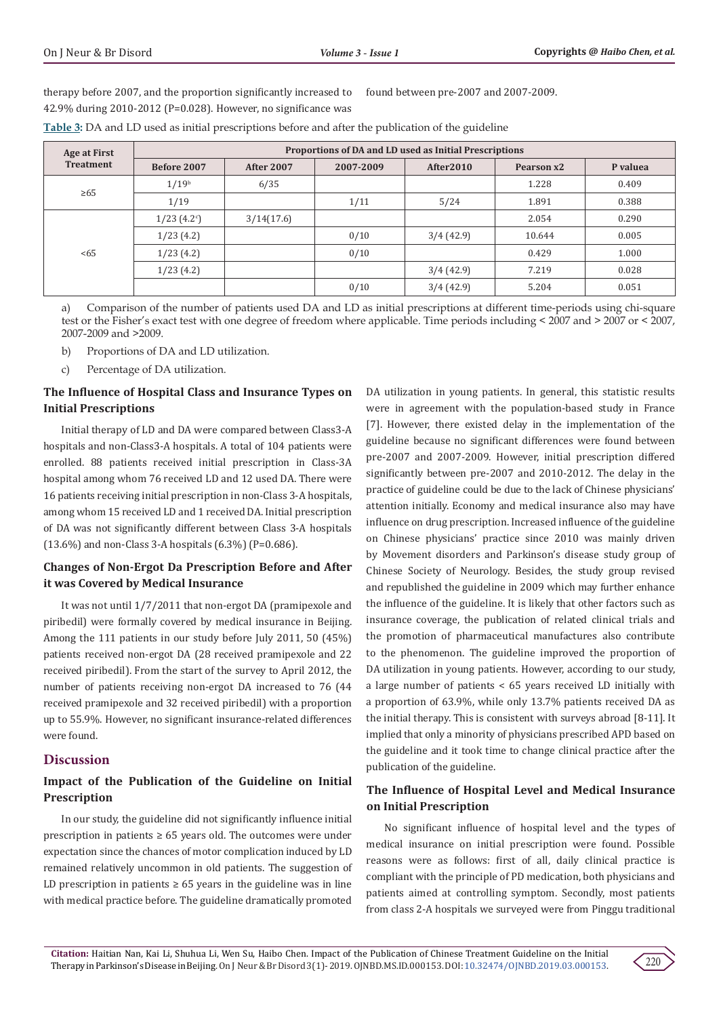therapy before 2007, and the proportion significantly increased to 42.9% during 2010-2012 (P=0.028). However, no significance was found between pre-2007 and 2007-2009.

| Age at First     | Proportions of DA and LD used as Initial Prescriptions |                   |           |           |            |          |  |  |  |
|------------------|--------------------------------------------------------|-------------------|-----------|-----------|------------|----------|--|--|--|
| <b>Treatment</b> | Before 2007                                            | <b>After 2007</b> | 2007-2009 | After2010 | Pearson x2 | P valuea |  |  |  |
| $\geq 65$        | 1/19 <sup>b</sup>                                      | 6/35              |           |           | 1.228      | 0.409    |  |  |  |
|                  | 1/19                                                   |                   | 1/11      | 5/24      | 1.891      | 0.388    |  |  |  |
|                  | 1/23(4.2°)                                             | 3/14(17.6)        |           |           | 2.054      | 0.290    |  |  |  |
|                  | 1/23(4.2)                                              |                   | 0/10      | 3/4(42.9) | 10.644     | 0.005    |  |  |  |
| $5 - 65$         | 1/23(4.2)                                              |                   | 0/10      |           | 0.429      | 1.000    |  |  |  |
|                  | 1/23(4.2)                                              |                   |           | 3/4(42.9) | 7.219      | 0.028    |  |  |  |
|                  |                                                        |                   | 0/10      | 3/4(42.9) | 5.204      | 0.051    |  |  |  |

**Table 3:** DA and LD used as initial prescriptions before and after the publication of the guideline

a) Comparison of the number of patients used DA and LD as initial prescriptions at different time-periods using chi-square test or the Fisher's exact test with one degree of freedom where applicable. Time periods including < 2007 and > 2007 or < 2007, 2007-2009 and >2009.

b) Proportions of DA and LD utilization.

c) Percentage of DA utilization.

# **The Influence of Hospital Class and Insurance Types on Initial Prescriptions**

Initial therapy of LD and DA were compared between Class3-A hospitals and non-Class3-A hospitals. A total of 104 patients were enrolled. 88 patients received initial prescription in Class-3A hospital among whom 76 received LD and 12 used DA. There were 16 patients receiving initial prescription in non-Class 3-A hospitals, among whom 15 received LD and 1 received DA. Initial prescription of DA was not significantly different between Class 3-A hospitals (13.6%) and non-Class 3-A hospitals (6.3%) (P=0.686).

# **Changes of Non-Ergot Da Prescription Before and After it was Covered by Medical Insurance**

It was not until 1/7/2011 that non-ergot DA (pramipexole and piribedil) were formally covered by medical insurance in Beijing. Among the 111 patients in our study before July 2011, 50 (45%) patients received non-ergot DA (28 received pramipexole and 22 received piribedil). From the start of the survey to April 2012, the number of patients receiving non-ergot DA increased to 76 (44 received pramipexole and 32 received piribedil) with a proportion up to 55.9%. However, no significant insurance-related differences were found.

# **Discussion**

# **Impact of the Publication of the Guideline on Initial Prescription**

In our study, the guideline did not significantly influence initial prescription in patients  $\geq 65$  years old. The outcomes were under expectation since the chances of motor complication induced by LD remained relatively uncommon in old patients. The suggestion of LD prescription in patients  $\geq 65$  years in the guideline was in line with medical practice before. The guideline dramatically promoted

DA utilization in young patients. In general, this statistic results were in agreement with the population-based study in France [7]. However, there existed delay in the implementation of the guideline because no significant differences were found between pre-2007 and 2007-2009. However, initial prescription differed significantly between pre-2007 and 2010-2012. The delay in the practice of guideline could be due to the lack of Chinese physicians' attention initially. Economy and medical insurance also may have influence on drug prescription. Increased influence of the guideline on Chinese physicians' practice since 2010 was mainly driven by Movement disorders and Parkinson's disease study group of Chinese Society of Neurology. Besides, the study group revised and republished the guideline in 2009 which may further enhance the influence of the guideline. It is likely that other factors such as insurance coverage, the publication of related clinical trials and the promotion of pharmaceutical manufactures also contribute to the phenomenon. The guideline improved the proportion of DA utilization in young patients. However, according to our study, a large number of patients < 65 years received LD initially with a proportion of 63.9%, while only 13.7% patients received DA as the initial therapy. This is consistent with surveys abroad [8-11]. It implied that only a minority of physicians prescribed APD based on the guideline and it took time to change clinical practice after the publication of the guideline.

# **The Influence of Hospital Level and Medical Insurance on Initial Prescription**

No significant influence of hospital level and the types of medical insurance on initial prescription were found. Possible reasons were as follows: first of all, daily clinical practice is compliant with the principle of PD medication, both physicians and patients aimed at controlling symptom. Secondly, most patients from class 2-A hospitals we surveyed were from Pinggu traditional

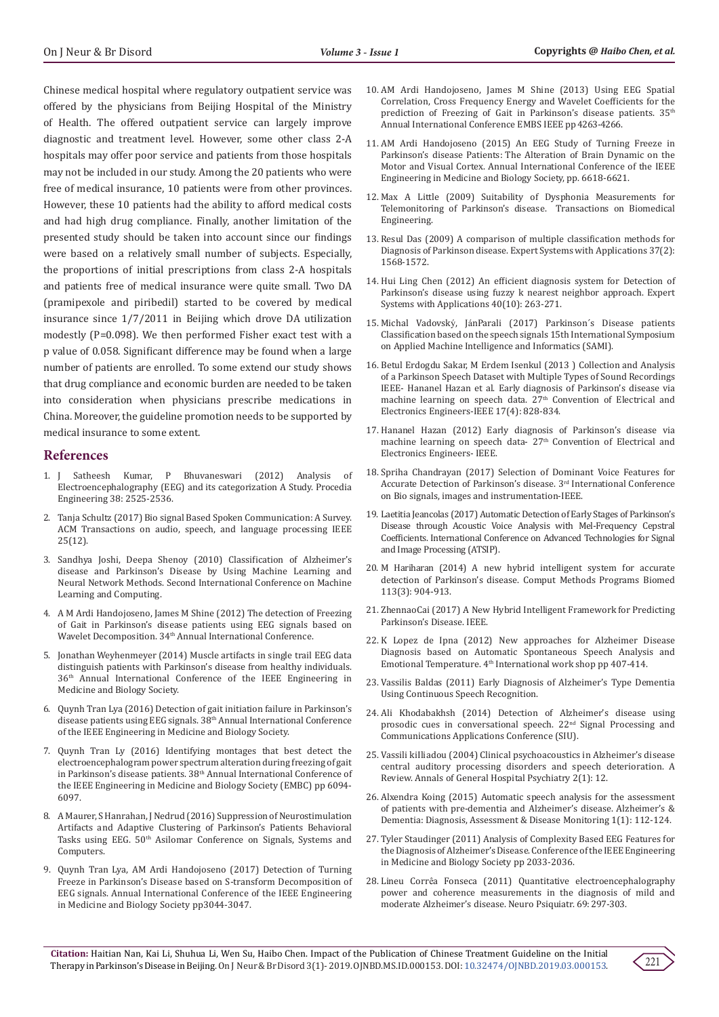Chinese medical hospital where regulatory outpatient service was offered by the physicians from Beijing Hospital of the Ministry of Health. The offered outpatient service can largely improve diagnostic and treatment level. However, some other class 2-A hospitals may offer poor service and patients from those hospitals may not be included in our study. Among the 20 patients who were free of medical insurance, 10 patients were from other provinces. However, these 10 patients had the ability to afford medical costs and had high drug compliance. Finally, another limitation of the presented study should be taken into account since our findings were based on a relatively small number of subjects. Especially, the proportions of initial prescriptions from class 2-A hospitals and patients free of medical insurance were quite small. Two DA (pramipexole and piribedil) started to be covered by medical insurance since 1/7/2011 in Beijing which drove DA utilization modestly (P=0.098). We then performed Fisher exact test with a p value of 0.058. Significant difference may be found when a large number of patients are enrolled. To some extend our study shows that drug compliance and economic burden are needed to be taken into consideration when physicians prescribe medications in China. Moreover, the guideline promotion needs to be supported by medical insurance to some extent.

### **References**

- 1. [J Satheesh Kumar, P Bhuvaneswari \(2012\) Analysis of](https://www.sciencedirect.com/science/article/pii/S1877705812022114)  [Electroencephalography \(EEG\) and its categorization A Study. Procedia](https://www.sciencedirect.com/science/article/pii/S1877705812022114)  [Engineering 38: 2525-2536.](https://www.sciencedirect.com/science/article/pii/S1877705812022114)
- 2. [Tanja Schultz \(2017\) Bio signal Based Spoken Communication: A Survey.](https://ieeexplore.ieee.org/document/8114358)  [ACM Transactions on audio, speech, and language processing IEEE](https://ieeexplore.ieee.org/document/8114358)  [25\(12\).](https://ieeexplore.ieee.org/document/8114358)
- 3. [Sandhya Joshi, Deepa Shenoy \(2010\) Classification of Alzheimer's](https://ieeexplore.ieee.org/document/5460738/)  [disease and Parkinson's Disease by Using Machine Learning and](https://ieeexplore.ieee.org/document/5460738/)  [Neural Network Methods. Second International Conference on Machine](https://ieeexplore.ieee.org/document/5460738/)  [Learning and Computing.](https://ieeexplore.ieee.org/document/5460738/)
- 4. [A M Ardi Handojoseno, James M Shine \(2012\) The detection of Freezing](https://ieeexplore.ieee.org/document/6345873)  [of Gait in Parkinson's disease patients using EEG signals based on](https://ieeexplore.ieee.org/document/6345873)  Wavelet Decomposition. 34<sup>th</sup> Annual International Conference.
- 5. [Jonathan Weyhenmeyer \(2014\) Muscle artifacts in single trail EEG data](https://www.ncbi.nlm.nih.gov/pubmed/25570694)  [distinguish patients with Parkinson's disease from healthy individuals.](https://www.ncbi.nlm.nih.gov/pubmed/25570694)  [36th Annual International Conference of the IEEE Engineering in](https://www.ncbi.nlm.nih.gov/pubmed/25570694)  [Medicine and Biology Society.](https://www.ncbi.nlm.nih.gov/pubmed/25570694)
- 6. [Quynh Tran Lya \(2016\) Detection of gait initiation failure in Parkinson's](https://ieeexplore.ieee.org/document/7591018)  disease patients using EEG signals. 38<sup>th</sup> Annual International Conference [of the IEEE Engineering in Medicine and Biology Society.](https://ieeexplore.ieee.org/document/7591018)
- 7. [Quynh Tran Ly \(2016\) Identifying montages that best detect the](https://www.ncbi.nlm.nih.gov/pubmed/28269643)  [electroencephalogram power spectrum alteration during freezing of gait](https://www.ncbi.nlm.nih.gov/pubmed/28269643)  [in Parkinson's disease patients. 38th Annual International Conference of](https://www.ncbi.nlm.nih.gov/pubmed/28269643)  [the IEEE Engineering in Medicine and Biology Society \(EMBC\) pp 6094-](https://www.ncbi.nlm.nih.gov/pubmed/28269643) [6097.](https://www.ncbi.nlm.nih.gov/pubmed/28269643)
- 8. [A Maurer, S Hanrahan, J Nedrud \(2016\) Suppression of Neurostimulation](https://ieeexplore.ieee.org/document/7869169)  [Artifacts and Adaptive Clustering of Parkinson's Patients Behavioral](https://ieeexplore.ieee.org/document/7869169)  Tasks using EEG. 50<sup>th</sup> Asilomar Conference on Signals, Systems and [Computers.](https://ieeexplore.ieee.org/document/7869169)
- 9. [Quynh Tran Lya, AM Ardi Handojoseno \(2017\) Detection of Turning](https://www.ncbi.nlm.nih.gov/pubmed/29060540)  [Freeze in Parkinson's Disease based on S-transform Decomposition of](https://www.ncbi.nlm.nih.gov/pubmed/29060540)  [EEG signals. Annual International Conference of the IEEE Engineering](https://www.ncbi.nlm.nih.gov/pubmed/29060540)  [in Medicine and Biology Society pp3044-3047.](https://www.ncbi.nlm.nih.gov/pubmed/29060540)
- 10. [AM Ardi Handojoseno, James M Shine \(2013\) Using EEG Spatial](https://www.ncbi.nlm.nih.gov/pubmed/24110674) [Correlation, Cross Frequency Energy and Wavelet Coefficients for the](https://www.ncbi.nlm.nih.gov/pubmed/24110674) prediction of Freezing of Gait in Parkinson's disease patients. 35<sup>th</sup> [Annual International Conference EMBS IEEE pp 4263-4266.](https://www.ncbi.nlm.nih.gov/pubmed/24110674)
- 11. [AM Ardi Handojoseno \(2015\) An EEG Study of Turning Freeze in](https://www.ncbi.nlm.nih.gov/pubmed/26737810) Parkinson's disease Patients: [The Alteration of Brain Dynamic on the](https://www.ncbi.nlm.nih.gov/pubmed/26737810) [Motor and Visual Cortex. Annual International Conference of the IEEE](https://www.ncbi.nlm.nih.gov/pubmed/26737810) [Engineering in Medicine and Biology Society, pp. 6618-6621.](https://www.ncbi.nlm.nih.gov/pubmed/26737810)
- 12. [Max A Little \(2009\) Suitability of Dysphonia Measurements for](https://ieeexplore.ieee.org/document/4636708) [Telemonitoring of Parkinson's disease. Transactions on Biomedical](https://ieeexplore.ieee.org/document/4636708) [Engineering.](https://ieeexplore.ieee.org/document/4636708)
- 13. [Resul Das \(2009\) A comparison of multiple classification methods for](https://www.sciencedirect.com/science/article/pii/S0957417409006137) [Diagnosis of Parkinson disease. Expert Systems with Applications 37\(2\):](https://www.sciencedirect.com/science/article/pii/S0957417409006137) [1568-1572.](https://www.sciencedirect.com/science/article/pii/S0957417409006137)
- 14. [Hui Ling Chen \(2012\) An efficient diagnosis system for Detection of](https://www.sciencedirect.com/science/article/pii/S095741741200869X) [Parkinson's disease using fuzzy k nearest neighbor approach. Expert](https://www.sciencedirect.com/science/article/pii/S095741741200869X) [Systems with Applications 40\(10\): 263-271.](https://www.sciencedirect.com/science/article/pii/S095741741200869X)
- 15. Michal Vadovský, Já[nParali \(2017\) Parkinson´s Disease patients](https://ieeexplore.ieee.org/xpl/conhome/7875238/proceeding) [Classification based on the speech signals 15th International Symposium](https://ieeexplore.ieee.org/xpl/conhome/7875238/proceeding) [on Applied Machine Intelligence and Informatics \(SAMI\).](https://ieeexplore.ieee.org/xpl/conhome/7875238/proceeding)
- 16. [Betul Erdogdu Sakar, M Erdem Isenkul \(2013 \) Collection and Analysis](https://www.researchgate.net/publication/260662600_Collection_and_Analysis_of_a_Parkinson_Speech_Dataset_With_Multiple_Types_of_Sound_Recordings) [of a Parkinson Speech Dataset with Multiple Types of Sound Recordings](https://www.researchgate.net/publication/260662600_Collection_and_Analysis_of_a_Parkinson_Speech_Dataset_With_Multiple_Types_of_Sound_Recordings) [IEEE- Hananel Hazan et al. Early diagnosis of Parkinson's disease via](https://www.researchgate.net/publication/260662600_Collection_and_Analysis_of_a_Parkinson_Speech_Dataset_With_Multiple_Types_of_Sound_Recordings) machine learning on speech data. 27<sup>th</sup> Convention of Electrical and [Electronics Engineers-IEEE](https://www.researchgate.net/publication/260662600_Collection_and_Analysis_of_a_Parkinson_Speech_Dataset_With_Multiple_Types_of_Sound_Recordings) 17(4): 828-834.
- 17. Hananel Hazan (2012) Early diagnosis of Parkinson's disease via machine learning on speech data- 27<sup>th</sup> Convention of Electrical and Electronics Engineers- IEEE.
- 18. [Spriha Chandrayan \(2017\) Selection of Dominant Voice Features for](https://ieeexplore.ieee.org/document/8082297/) [Accurate Detection of Parkinson's disease. 3rd International Conference](https://ieeexplore.ieee.org/document/8082297/) [on Bio signals, images and instrumentation-IEEE.](https://ieeexplore.ieee.org/document/8082297/)
- 19. [Laetitia Jeancolas \(2017\) Automatic Detection of Early Stages of Parkinson's](https://ieeexplore.ieee.org/document/8075567) [Disease through Acoustic Voice Analysis with Mel-Frequency Cepstral](https://ieeexplore.ieee.org/document/8075567) [Coefficients. International Conference on Advanced Technologies for Signal](https://ieeexplore.ieee.org/document/8075567) [and Image Processing \(ATSIP\).](https://ieeexplore.ieee.org/document/8075567)
- 20. [M Hariharan \(2014\) A new hybrid intelligent system for accurate](https://www.ncbi.nlm.nih.gov/pubmed/24485390) [detection of Parkinson's disease. Comput Methods Programs Biomed](https://www.ncbi.nlm.nih.gov/pubmed/24485390) [113\(3\): 904-913.](https://www.ncbi.nlm.nih.gov/pubmed/24485390)
- 21. [ZhennaoCai \(2017\) A New Hybrid Intelligent Framework for Predicting](https://ieeexplore.ieee.org/abstract/document/8016562/) [Parkinson's Disease. IEEE.](https://ieeexplore.ieee.org/abstract/document/8016562/)
- 22. [K Lopez de Ipna \(2012\) New approaches for Alzheimer Disease](https://www.researchgate.net/publication/262349883_New_Approaches_for_Alzheimer) [Diagnosis based on Automatic Spontaneous Speech Analysis and](https://www.researchgate.net/publication/262349883_New_Approaches_for_Alzheimer) Emotional Temperature. 4<sup>th</sup> [International work shop pp 407-414.](https://www.researchgate.net/publication/262349883_New_Approaches_for_Alzheimer)
- 23. Vassilis Baldas (2011) Early Diagnosis of Alzheimer's Type Dementia Using Continuous Speech Recognition.
- 24. [Ali Khodabakhsh \(2014\) Detection of Alzheimer's disease using](https://ieeexplore.ieee.org/document/6830401) [prosodic cues in conversational speech. 22nd Signal Processing and](https://ieeexplore.ieee.org/document/6830401) [Communications Applications Conference \(SIU\).](https://ieeexplore.ieee.org/document/6830401)
- 25. [Vassili kiIliadou \(2004\) Clinical psychoacoustics in Alzheimer's disease](https://www.ncbi.nlm.nih.gov/pubmed/14690547/) [central auditory processing disorders and speech deterioration. A](https://www.ncbi.nlm.nih.gov/pubmed/14690547/) [Review. Annals of General Hospital](https://www.ncbi.nlm.nih.gov/pubmed/14690547/) Psychiatry 2(1): 12.
- 26. [Alxendra Koing \(2015\) Automatic speech analysis for the assessment](https://www.sciencedirect.com/journal/alzheimers-and-dementia-diagnosis-assessment-and-disease-monitoring) [of patients with pre-dementia and Alzheimer's disease. Alzheimer's &](https://www.sciencedirect.com/journal/alzheimers-and-dementia-diagnosis-assessment-and-disease-monitoring) [Dementia: Diagnosis, Assessment & Disease Monitoring](https://www.sciencedirect.com/journal/alzheimers-and-dementia-diagnosis-assessment-and-disease-monitoring) 1(1): 112-124.
- 27. [Tyler Staudinger \(2011\) Analysis of Complexity Based EEG Features for](https://www.ncbi.nlm.nih.gov/pubmed/22254735) [the Diagnosis of Alzheimer's Disease. Conference of the IEEE Engineering](https://www.ncbi.nlm.nih.gov/pubmed/22254735) [in Medicine and Biology Society pp 2033-2036.](https://www.ncbi.nlm.nih.gov/pubmed/22254735)
- 28. Lineu Corrê[a Fonseca \(2011\) Quantitative electroencephalography](https://www.ncbi.nlm.nih.gov/pubmed/21625754) [power and coherence measurements in the diagnosis of mild and](https://www.ncbi.nlm.nih.gov/pubmed/21625754) [moderate Alzheimer's disease. Neuro Psiquiatr. 69: 297-303.](https://www.ncbi.nlm.nih.gov/pubmed/21625754)